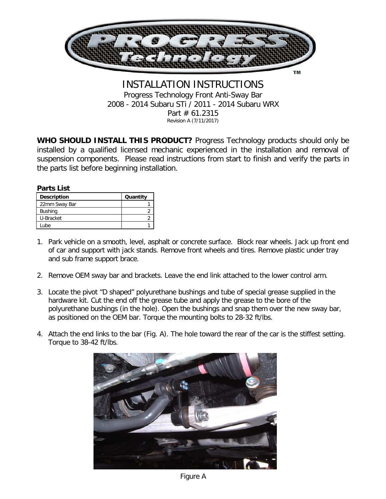

## INSTALLATION INSTRUCTIONS Progress Technology Front Anti-Sway Bar 2008 - 2014 Subaru STi / 2011 - 2014 Subaru WRX Part # 61.2315 Revision A (7/11/2017)

**WHO SHOULD INSTALL THIS PRODUCT?** Progress Technology products should only be installed by a qualified licensed mechanic experienced in the installation and removal of suspension components. Please read instructions from start to finish and verify the parts in the parts list before beginning installation.

## **Parts List**

| <b>Description</b> | Quantity |
|--------------------|----------|
| 22mm Sway Bar      |          |
| <b>Bushing</b>     |          |
| U-Bracket          |          |
| _ube               |          |

- 1. Park vehicle on a smooth, level, asphalt or concrete surface. Block rear wheels. Jack up front end of car and support with jack stands. Remove front wheels and tires. Remove plastic under tray and sub frame support brace.
- 2. Remove OEM sway bar and brackets. Leave the end link attached to the lower control arm.
- 3. Locate the pivot "D shaped" polyurethane bushings and tube of special grease supplied in the hardware kit. Cut the end off the grease tube and apply the grease to the bore of the polyurethane bushings (in the hole). Open the bushings and snap them over the new sway bar, as positioned on the OEM bar. Torque the mounting bolts to 28-32 ft/lbs.
- 4. Attach the end links to the bar (Fig. A). The hole toward the rear of the car is the stiffest setting. Torque to 38-42 ft/lbs.



Figure A